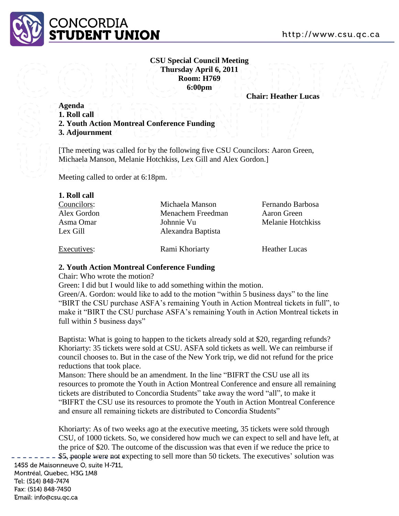

## **CSU Special Council Meeting Thursday April 6, 2011 Room: H769 6:00pm**

**Chair: Heather Lucas**

## **Agenda**

- **1. Roll call**
- **2. Youth Action Montreal Conference Funding**
- **3. Adjournment**

[The meeting was called for by the following five CSU Councilors: Aaron Green, Michaela Manson, Melanie Hotchkiss, Lex Gill and Alex Gordon.]

Meeting called to order at 6:18pm.

| Michaela Manson    | Fernando Barbosa     |
|--------------------|----------------------|
| Menachem Freedman  | Aaron Green          |
| Johnnie Vu         | Melanie Hotchkiss    |
| Alexandra Baptista |                      |
| Rami Khoriarty     | <b>Heather Lucas</b> |
|                    |                      |

## **2. Youth Action Montreal Conference Funding**

Chair: Who wrote the motion?

Green: I did but I would like to add something within the motion.

Green/A. Gordon: would like to add to the motion "within 5 business days" to the line "BIRT the CSU purchase ASFA's remaining Youth in Action Montreal tickets in full", to make it "BIRT the CSU purchase ASFA's remaining Youth in Action Montreal tickets in full within 5 business days"

Baptista: What is going to happen to the tickets already sold at \$20, regarding refunds? Khoriarty: 35 tickets were sold at CSU. ASFA sold tickets as well. We can reimburse if council chooses to. But in the case of the New York trip, we did not refund for the price reductions that took place.

Manson: There should be an amendment. In the line "BIFRT the CSU use all its resources to promote the Youth in Action Montreal Conference and ensure all remaining tickets are distributed to Concordia Students" take away the word "all", to make it "BIFRT the CSU use its resources to promote the Youth in Action Montreal Conference and ensure all remaining tickets are distributed to Concordia Students"

Khoriarty: As of two weeks ago at the executive meeting, 35 tickets were sold through CSU, of 1000 tickets. So, we considered how much we can expect to sell and have left, at the price of \$20. The outcome of the discussion was that even if we reduce the price to \$5, people were not expecting to sell more than 50 tickets. The executives' solution was 1455 de Maisonneuve O, suite H-711,

Montréal, Quebec, H3G 1M8 Tel: (514) 848-7474 Fax: (514) 848-7450 Email: info@csu.qc.ca